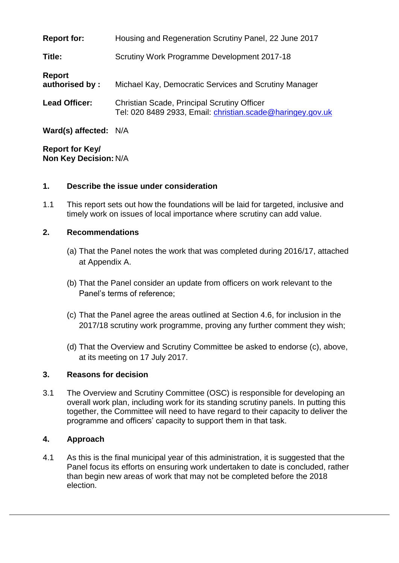| <b>Report for:</b>              | Housing and Regeneration Scrutiny Panel, 22 June 2017                                                            |
|---------------------------------|------------------------------------------------------------------------------------------------------------------|
| Title:                          | Scrutiny Work Programme Development 2017-18                                                                      |
| <b>Report</b><br>authorised by: | Michael Kay, Democratic Services and Scrutiny Manager                                                            |
| <b>Lead Officer:</b>            | <b>Christian Scade, Principal Scrutiny Officer</b><br>Tel: 020 8489 2933, Email: christian.scade@haringey.gov.uk |
| Ward(s) affected: N/A           |                                                                                                                  |

**Report for Key/ Non Key Decision:** N/A

#### **1. Describe the issue under consideration**

1.1 This report sets out how the foundations will be laid for targeted, inclusive and timely work on issues of local importance where scrutiny can add value.

#### **2. Recommendations**

- (a) That the Panel notes the work that was completed during 2016/17, attached at Appendix A.
- (b) That the Panel consider an update from officers on work relevant to the Panel's terms of reference;
- (c) That the Panel agree the areas outlined at Section 4.6, for inclusion in the 2017/18 scrutiny work programme, proving any further comment they wish;
- (d) That the Overview and Scrutiny Committee be asked to endorse (c), above, at its meeting on 17 July 2017.

#### **3. Reasons for decision**

3.1 The Overview and Scrutiny Committee (OSC) is responsible for developing an overall work plan, including work for its standing scrutiny panels. In putting this together, the Committee will need to have regard to their capacity to deliver the programme and officers' capacity to support them in that task.

# **4. Approach**

4.1 As this is the final municipal year of this administration, it is suggested that the Panel focus its efforts on ensuring work undertaken to date is concluded, rather than begin new areas of work that may not be completed before the 2018 election.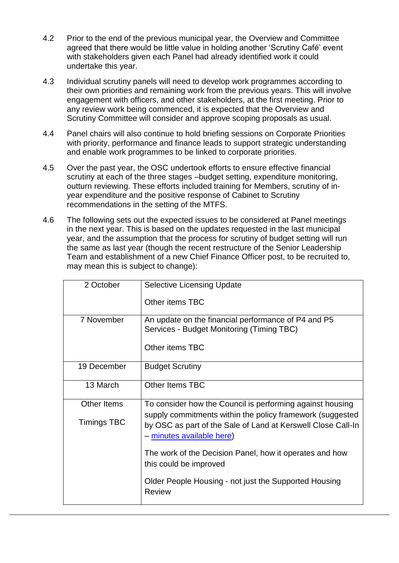- 4.2 Prior to the end of the previous municipal year, the Overview and Committee agreed that there would be little value in holding another 'Scrutiny Café' event with stakeholders given each Panel had already identified work it could undertake this year.
- 4.3 Individual scrutiny panels will need to develop work programmes according to their own priorities and remaining work from the previous years. This will involve engagement with officers, and other stakeholders, at the first meeting. Prior to any review work being commenced, it is expected that the Overview and Scrutiny Committee will consider and approve scoping proposals as usual.
- 4.4 Panel chairs will also continue to hold briefing sessions on Corporate Priorities with priority, performance and finance leads to support strategic understanding and enable work programmes to be linked to corporate priorities.
- 4.5 Over the past year, the OSC undertook efforts to ensure effective financial scrutiny at each of the three stages –budget setting, expenditure monitoring, outturn reviewing. These efforts included training for Members, scrutiny of inyear expenditure and the positive response of Cabinet to Scrutiny recommendations in the setting of the MTFS.
- 4.6 The following sets out the expected issues to be considered at Panel meetings in the next year. This is based on the updates requested in the last municipal year, and the assumption that the process for scrutiny of budget setting will run the same as last year (though the recent restructure of the Senior Leadership Team and establishment of a new Chief Finance Officer post, to be recruited to, may mean this is subject to change):

| 2 October          | <b>Selective Licensing Update</b>                                                                                                                      |
|--------------------|--------------------------------------------------------------------------------------------------------------------------------------------------------|
|                    | Other items TBC                                                                                                                                        |
| 7 November         | An update on the financial performance of P4 and P5<br>Services - Budget Monitoring (Timing TBC)                                                       |
|                    | Other items TBC                                                                                                                                        |
| 19 December        | <b>Budget Scrutiny</b>                                                                                                                                 |
| 13 March           | <b>Other Items TBC</b>                                                                                                                                 |
| <b>Other Items</b> | To consider how the Council is performing against housing                                                                                              |
| <b>Timings TBC</b> | supply commitments within the policy framework (suggested<br>by OSC as part of the Sale of Land at Kerswell Close Call-In<br>- minutes available here) |
|                    | The work of the Decision Panel, how it operates and how<br>this could be improved                                                                      |
|                    | Older People Housing - not just the Supported Housing<br><b>Review</b>                                                                                 |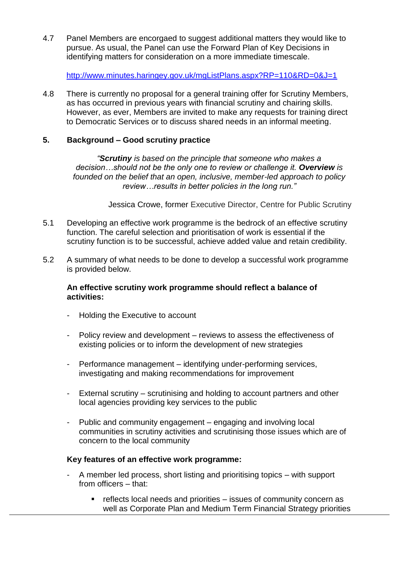4.7 Panel Members are encorgaed to suggest additional matters they would like to pursue. As usual, the Panel can use the Forward Plan of Key Decisions in identifying matters for consideration on a more immediate timescale.

<http://www.minutes.haringey.gov.uk/mgListPlans.aspx?RP=110&RD=0&J=1>

4.8 There is currently no proposal for a general training offer for Scrutiny Members, as has occurred in previous years with financial scrutiny and chairing skills. However, as ever, Members are invited to make any requests for training direct to Democratic Services or to discuss shared needs in an informal meeting.

# **5. Background – Good scrutiny practice**

*"Scrutiny is based on the principle that someone who makes a decision…should not be the only one to review or challenge it. Overview is founded on the belief that an open, inclusive, member-led approach to policy review…results in better policies in the long run."*

Jessica Crowe, former Executive Director, Centre for Public Scrutiny

- 5.1 Developing an effective work programme is the bedrock of an effective scrutiny function. The careful selection and prioritisation of work is essential if the scrutiny function is to be successful, achieve added value and retain credibility.
- 5.2 A summary of what needs to be done to develop a successful work programme is provided below.

#### **An effective scrutiny work programme should reflect a balance of activities:**

- Holding the Executive to account
- Policy review and development reviews to assess the effectiveness of existing policies or to inform the development of new strategies
- Performance management identifying under-performing services, investigating and making recommendations for improvement
- External scrutiny scrutinising and holding to account partners and other local agencies providing key services to the public
- Public and community engagement engaging and involving local communities in scrutiny activities and scrutinising those issues which are of concern to the local community

# **Key features of an effective work programme:**

- A member led process, short listing and prioritising topics with support from officers – that:
	- reflects local needs and priorities issues of community concern as well as Corporate Plan and Medium Term Financial Strategy priorities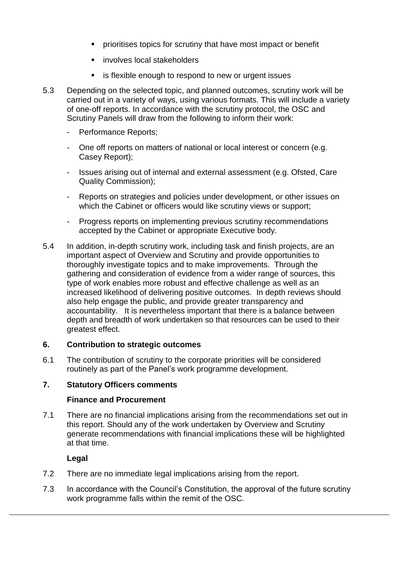- **PEDIORITY IS NOTE THAT IS SET THAT THE PRIOR IS SET THAT IS SET IS SET THAT IS SET THAT IS SET THAT IS SET THAT IS SET THAT IS SET THAT IS SET THAT IS SET THAT IS SET THAT IS SET THAT IS SET THAT IS SET THAT IS SET THAT I**
- **EXEC** involves local stakeholders
- **EXECT:** is flexible enough to respond to new or urgent issues
- 5.3 Depending on the selected topic, and planned outcomes, scrutiny work will be carried out in a variety of ways, using various formats. This will include a variety of one-off reports. In accordance with the scrutiny protocol, the OSC and Scrutiny Panels will draw from the following to inform their work:
	- Performance Reports;
	- One off reports on matters of national or local interest or concern (e.g. Casey Report);
	- Issues arising out of internal and external assessment (e.g. Ofsted, Care Quality Commission);
	- Reports on strategies and policies under development, or other issues on which the Cabinet or officers would like scrutiny views or support;
	- Progress reports on implementing previous scrutiny recommendations accepted by the Cabinet or appropriate Executive body.
- 5.4 In addition, in-depth scrutiny work, including task and finish projects, are an important aspect of Overview and Scrutiny and provide opportunities to thoroughly investigate topics and to make improvements. Through the gathering and consideration of evidence from a wider range of sources, this type of work enables more robust and effective challenge as well as an increased likelihood of delivering positive outcomes. In depth reviews should also help engage the public, and provide greater transparency and accountability. It is nevertheless important that there is a balance between depth and breadth of work undertaken so that resources can be used to their greatest effect.

# **6. Contribution to strategic outcomes**

6.1 The contribution of scrutiny to the corporate priorities will be considered routinely as part of the Panel's work programme development.

# **7. Statutory Officers comments**

#### **Finance and Procurement**

7.1 There are no financial implications arising from the recommendations set out in this report. Should any of the work undertaken by Overview and Scrutiny generate recommendations with financial implications these will be highlighted at that time.

#### **Legal**

- 7.2 There are no immediate legal implications arising from the report.
- 7.3 In accordance with the Council's Constitution, the approval of the future scrutiny work programme falls within the remit of the OSC.